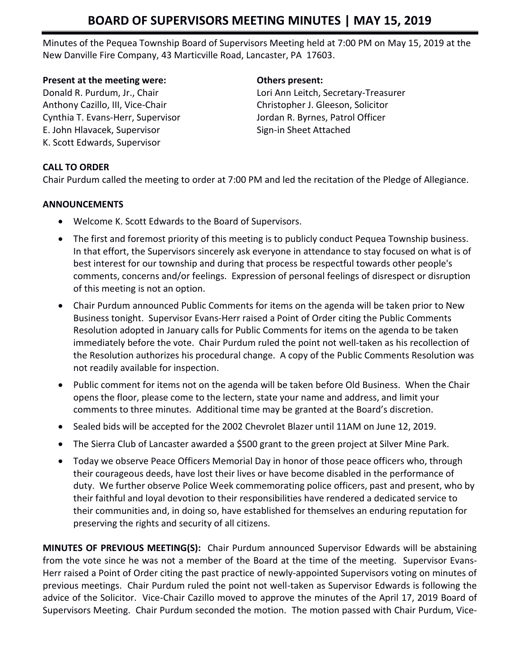# **BOARD OF SUPERVISORS MEETING MINUTES | MAY 15, 2019**

Minutes of the Pequea Township Board of Supervisors Meeting held at 7:00 PM on May 15, 2019 at the New Danville Fire Company, 43 Marticville Road, Lancaster, PA 17603.

### **Present at the meeting were: Others present:**

Anthony Cazillo, III, Vice-Chair Christopher J. Gleeson, Solicitor Cynthia T. Evans-Herr, Supervisor Jordan R. Byrnes, Patrol Officer E. John Hlavacek, Supervisor Sign-in Sheet Attached K. Scott Edwards, Supervisor

Donald R. Purdum, Jr., Chair Lori Ann Leitch, Secretary-Treasurer

## **CALL TO ORDER**

Chair Purdum called the meeting to order at 7:00 PM and led the recitation of the Pledge of Allegiance.

## **ANNOUNCEMENTS**

- Welcome K. Scott Edwards to the Board of Supervisors.
- The first and foremost priority of this meeting is to publicly conduct Pequea Township business. In that effort, the Supervisors sincerely ask everyone in attendance to stay focused on what is of best interest for our township and during that process be respectful towards other people's comments, concerns and/or feelings. Expression of personal feelings of disrespect or disruption of this meeting is not an option.
- Chair Purdum announced Public Comments for items on the agenda will be taken prior to New Business tonight. Supervisor Evans-Herr raised a Point of Order citing the Public Comments Resolution adopted in January calls for Public Comments for items on the agenda to be taken immediately before the vote. Chair Purdum ruled the point not well-taken as his recollection of the Resolution authorizes his procedural change. A copy of the Public Comments Resolution was not readily available for inspection.
- Public comment for items not on the agenda will be taken before Old Business. When the Chair opens the floor, please come to the lectern, state your name and address, and limit your comments to three minutes. Additional time may be granted at the Board's discretion.
- Sealed bids will be accepted for the 2002 Chevrolet Blazer until 11AM on June 12, 2019.
- The Sierra Club of Lancaster awarded a \$500 grant to the green project at Silver Mine Park.
- Today we observe Peace Officers Memorial Day in honor of those peace officers who, through their courageous deeds, have lost their lives or have become disabled in the performance of duty. We further observe Police Week commemorating police officers, past and present, who by their faithful and loyal devotion to their responsibilities have rendered a dedicated service to their communities and, in doing so, have established for themselves an enduring reputation for preserving the rights and security of all citizens.

**MINUTES OF PREVIOUS MEETING(S):** Chair Purdum announced Supervisor Edwards will be abstaining from the vote since he was not a member of the Board at the time of the meeting. Supervisor Evans-Herr raised a Point of Order citing the past practice of newly-appointed Supervisors voting on minutes of previous meetings. Chair Purdum ruled the point not well-taken as Supervisor Edwards is following the advice of the Solicitor. Vice-Chair Cazillo moved to approve the minutes of the April 17, 2019 Board of Supervisors Meeting. Chair Purdum seconded the motion. The motion passed with Chair Purdum, Vice-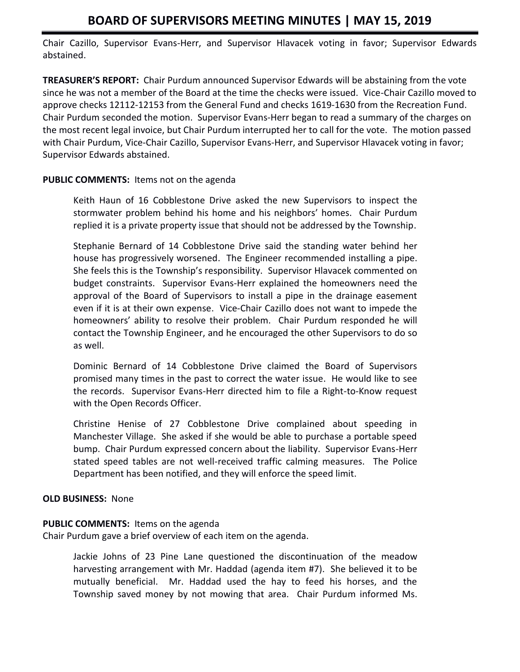# **BOARD OF SUPERVISORS MEETING MINUTES | MAY 15, 2019**

Chair Cazillo, Supervisor Evans-Herr, and Supervisor Hlavacek voting in favor; Supervisor Edwards abstained.

**TREASURER'S REPORT:** Chair Purdum announced Supervisor Edwards will be abstaining from the vote since he was not a member of the Board at the time the checks were issued. Vice-Chair Cazillo moved to approve checks 12112-12153 from the General Fund and checks 1619-1630 from the Recreation Fund. Chair Purdum seconded the motion. Supervisor Evans-Herr began to read a summary of the charges on the most recent legal invoice, but Chair Purdum interrupted her to call for the vote. The motion passed with Chair Purdum, Vice-Chair Cazillo, Supervisor Evans-Herr, and Supervisor Hlavacek voting in favor; Supervisor Edwards abstained.

### **PUBLIC COMMENTS:** Items not on the agenda

Keith Haun of 16 Cobblestone Drive asked the new Supervisors to inspect the stormwater problem behind his home and his neighbors' homes. Chair Purdum replied it is a private property issue that should not be addressed by the Township.

Stephanie Bernard of 14 Cobblestone Drive said the standing water behind her house has progressively worsened. The Engineer recommended installing a pipe. She feels this is the Township's responsibility. Supervisor Hlavacek commented on budget constraints. Supervisor Evans-Herr explained the homeowners need the approval of the Board of Supervisors to install a pipe in the drainage easement even if it is at their own expense. Vice-Chair Cazillo does not want to impede the homeowners' ability to resolve their problem. Chair Purdum responded he will contact the Township Engineer, and he encouraged the other Supervisors to do so as well.

Dominic Bernard of 14 Cobblestone Drive claimed the Board of Supervisors promised many times in the past to correct the water issue. He would like to see the records. Supervisor Evans-Herr directed him to file a Right-to-Know request with the Open Records Officer.

Christine Henise of 27 Cobblestone Drive complained about speeding in Manchester Village. She asked if she would be able to purchase a portable speed bump. Chair Purdum expressed concern about the liability. Supervisor Evans-Herr stated speed tables are not well-received traffic calming measures. The Police Department has been notified, and they will enforce the speed limit.

### **OLD BUSINESS:** None

### **PUBLIC COMMENTS:** Items on the agenda

Chair Purdum gave a brief overview of each item on the agenda.

Jackie Johns of 23 Pine Lane questioned the discontinuation of the meadow harvesting arrangement with Mr. Haddad (agenda item #7). She believed it to be mutually beneficial. Mr. Haddad used the hay to feed his horses, and the Township saved money by not mowing that area. Chair Purdum informed Ms.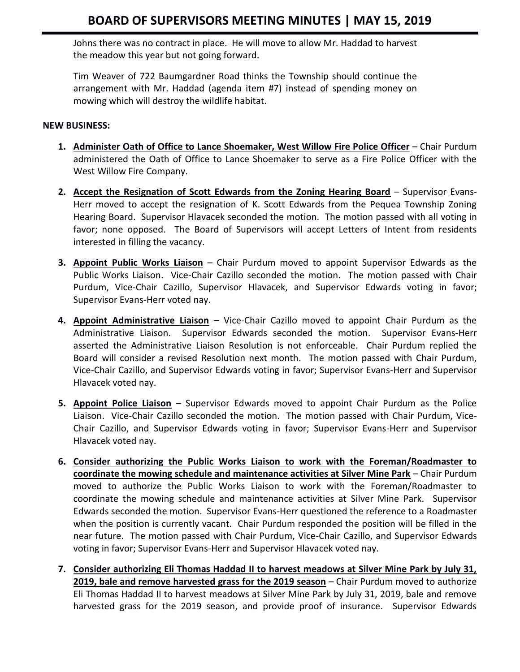Johns there was no contract in place. He will move to allow Mr. Haddad to harvest the meadow this year but not going forward.

Tim Weaver of 722 Baumgardner Road thinks the Township should continue the arrangement with Mr. Haddad (agenda item #7) instead of spending money on mowing which will destroy the wildlife habitat.

#### **NEW BUSINESS:**

- **1. Administer Oath of Office to Lance Shoemaker, West Willow Fire Police Officer** Chair Purdum administered the Oath of Office to Lance Shoemaker to serve as a Fire Police Officer with the West Willow Fire Company.
- **2. Accept the Resignation of Scott Edwards from the Zoning Hearing Board** Supervisor Evans-Herr moved to accept the resignation of K. Scott Edwards from the Pequea Township Zoning Hearing Board. Supervisor Hlavacek seconded the motion. The motion passed with all voting in favor; none opposed. The Board of Supervisors will accept Letters of Intent from residents interested in filling the vacancy.
- **3. Appoint Public Works Liaison** Chair Purdum moved to appoint Supervisor Edwards as the Public Works Liaison. Vice-Chair Cazillo seconded the motion. The motion passed with Chair Purdum, Vice-Chair Cazillo, Supervisor Hlavacek, and Supervisor Edwards voting in favor; Supervisor Evans-Herr voted nay.
- **4. Appoint Administrative Liaison** Vice-Chair Cazillo moved to appoint Chair Purdum as the Administrative Liaison. Supervisor Edwards seconded the motion. Supervisor Evans-Herr asserted the Administrative Liaison Resolution is not enforceable. Chair Purdum replied the Board will consider a revised Resolution next month. The motion passed with Chair Purdum, Vice-Chair Cazillo, and Supervisor Edwards voting in favor; Supervisor Evans-Herr and Supervisor Hlavacek voted nay.
- **5. Appoint Police Liaison** Supervisor Edwards moved to appoint Chair Purdum as the Police Liaison. Vice-Chair Cazillo seconded the motion. The motion passed with Chair Purdum, Vice-Chair Cazillo, and Supervisor Edwards voting in favor; Supervisor Evans-Herr and Supervisor Hlavacek voted nay.
- **6. Consider authorizing the Public Works Liaison to work with the Foreman/Roadmaster to coordinate the mowing schedule and maintenance activities at Silver Mine Park** – Chair Purdum moved to authorize the Public Works Liaison to work with the Foreman/Roadmaster to coordinate the mowing schedule and maintenance activities at Silver Mine Park. Supervisor Edwards seconded the motion. Supervisor Evans-Herr questioned the reference to a Roadmaster when the position is currently vacant. Chair Purdum responded the position will be filled in the near future. The motion passed with Chair Purdum, Vice-Chair Cazillo, and Supervisor Edwards voting in favor; Supervisor Evans-Herr and Supervisor Hlavacek voted nay.
- **7. Consider authorizing Eli Thomas Haddad II to harvest meadows at Silver Mine Park by July 31, 2019, bale and remove harvested grass for the 2019 season** – Chair Purdum moved to authorize Eli Thomas Haddad II to harvest meadows at Silver Mine Park by July 31, 2019, bale and remove harvested grass for the 2019 season, and provide proof of insurance. Supervisor Edwards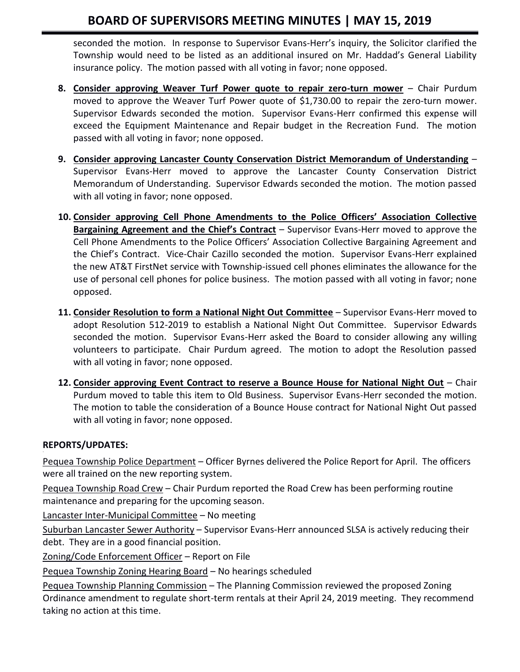# **BOARD OF SUPERVISORS MEETING MINUTES | MAY 15, 2019**

seconded the motion. In response to Supervisor Evans-Herr's inquiry, the Solicitor clarified the Township would need to be listed as an additional insured on Mr. Haddad's General Liability insurance policy. The motion passed with all voting in favor; none opposed.

- **8. Consider approving Weaver Turf Power quote to repair zero-turn mower** Chair Purdum moved to approve the Weaver Turf Power quote of \$1,730.00 to repair the zero-turn mower. Supervisor Edwards seconded the motion. Supervisor Evans-Herr confirmed this expense will exceed the Equipment Maintenance and Repair budget in the Recreation Fund. The motion passed with all voting in favor; none opposed.
- **9. Consider approving Lancaster County Conservation District Memorandum of Understanding** Supervisor Evans-Herr moved to approve the Lancaster County Conservation District Memorandum of Understanding. Supervisor Edwards seconded the motion. The motion passed with all voting in favor; none opposed.
- **10. Consider approving Cell Phone Amendments to the Police Officers' Association Collective Bargaining Agreement and the Chief's Contract** – Supervisor Evans-Herr moved to approve the Cell Phone Amendments to the Police Officers' Association Collective Bargaining Agreement and the Chief's Contract. Vice-Chair Cazillo seconded the motion. Supervisor Evans-Herr explained the new AT&T FirstNet service with Township-issued cell phones eliminates the allowance for the use of personal cell phones for police business. The motion passed with all voting in favor; none opposed.
- **11. Consider Resolution to form a National Night Out Committee** Supervisor Evans-Herr moved to adopt Resolution 512-2019 to establish a National Night Out Committee. Supervisor Edwards seconded the motion. Supervisor Evans-Herr asked the Board to consider allowing any willing volunteers to participate. Chair Purdum agreed. The motion to adopt the Resolution passed with all voting in favor; none opposed.
- **12. Consider approving Event Contract to reserve a Bounce House for National Night Out** Chair Purdum moved to table this item to Old Business. Supervisor Evans-Herr seconded the motion. The motion to table the consideration of a Bounce House contract for National Night Out passed with all voting in favor; none opposed.

# **REPORTS/UPDATES:**

Pequea Township Police Department - Officer Byrnes delivered the Police Report for April. The officers were all trained on the new reporting system.

Pequea Township Road Crew – Chair Purdum reported the Road Crew has been performing routine maintenance and preparing for the upcoming season.

Lancaster Inter-Municipal Committee – No meeting

Suburban Lancaster Sewer Authority – Supervisor Evans-Herr announced SLSA is actively reducing their debt. They are in a good financial position.

Zoning/Code Enforcement Officer – Report on File

Pequea Township Zoning Hearing Board – No hearings scheduled

Pequea Township Planning Commission – The Planning Commission reviewed the proposed Zoning Ordinance amendment to regulate short-term rentals at their April 24, 2019 meeting. They recommend taking no action at this time.